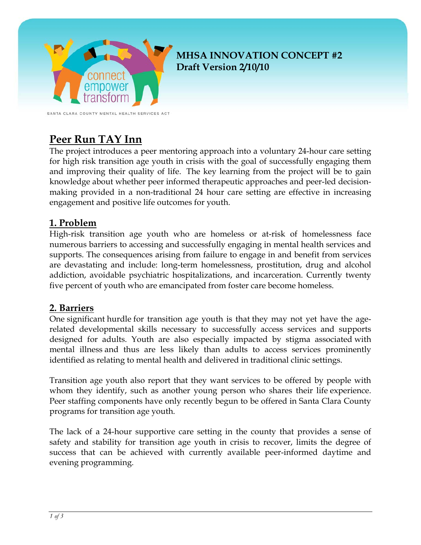

# **MHSA INNOVATION CONCEPT #2 Draft Version 2/10/10**

SANTA CLARA COUNTY MENTAL HEALTH SERVICES ACT

# **Peer Run TAY Inn**

The project introduces a peer mentoring approach into a voluntary 24-hour care setting for high risk transition age youth in crisis with the goal of successfully engaging them and improving their quality of life. The key learning from the project will be to gain knowledge about whether peer informed therapeutic approaches and peer-led decisionmaking provided in a non-traditional 24 hour care setting are effective in increasing engagement and positive life outcomes for youth.

## **1. Problem**

High-risk transition age youth who are homeless or at-risk of homelessness face numerous barriers to accessing and successfully engaging in mental health services and supports. The consequences arising from failure to engage in and benefit from services are devastating and include: long-term homelessness, prostitution, drug and alcohol addiction, avoidable psychiatric hospitalizations, and incarceration. Currently twenty five percent of youth who are emancipated from foster care become homeless.

# **2. Barriers**

One significant hurdle for transition age youth is that they may not yet have the agerelated developmental skills necessary to successfully access services and supports designed for adults. Youth are also especially impacted by stigma associated with mental illness and thus are less likely than adults to access services prominently identified as relating to mental health and delivered in traditional clinic settings.

Transition age youth also report that they want services to be offered by people with whom they identify, such as another young person who shares their life experience. Peer staffing components have only recently begun to be offered in Santa Clara County programs for transition age youth.

The lack of a 24-hour supportive care setting in the county that provides a sense of safety and stability for transition age youth in crisis to recover, limits the degree of success that can be achieved with currently available peer-informed daytime and evening programming.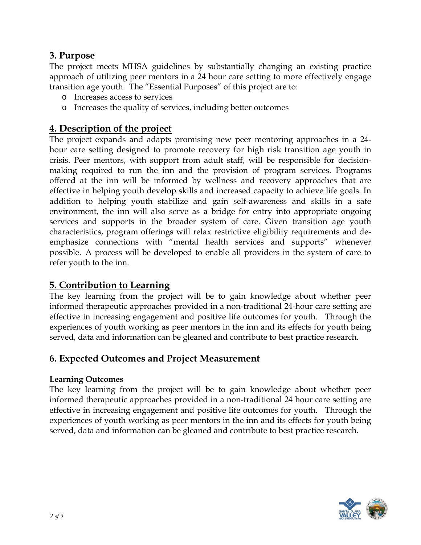## **3. Purpose**

The project meets MHSA guidelines by substantially changing an existing practice approach of utilizing peer mentors in a 24 hour care setting to more effectively engage transition age youth. The "Essential Purposes" of this project are to:

- o Increases access to services
- o Increases the quality of services, including better outcomes

#### **4. Description of the project**

The project expands and adapts promising new peer mentoring approaches in a 24 hour care setting designed to promote recovery for high risk transition age youth in crisis. Peer mentors, with support from adult staff, will be responsible for decisionmaking required to run the inn and the provision of program services. Programs offered at the inn will be informed by wellness and recovery approaches that are effective in helping youth develop skills and increased capacity to achieve life goals. In addition to helping youth stabilize and gain self-awareness and skills in a safe environment, the inn will also serve as a bridge for entry into appropriate ongoing services and supports in the broader system of care. Given transition age youth characteristics, program offerings will relax restrictive eligibility requirements and deemphasize connections with "mental health services and supports" whenever possible. A process will be developed to enable all providers in the system of care to refer youth to the inn.

## **5. Contribution to Learning**

The key learning from the project will be to gain knowledge about whether peer informed therapeutic approaches provided in a non-traditional 24-hour care setting are effective in increasing engagement and positive life outcomes for youth. Through the experiences of youth working as peer mentors in the inn and its effects for youth being served, data and information can be gleaned and contribute to best practice research.

## **6. Expected Outcomes and Project Measurement**

#### **Learning Outcomes**

The key learning from the project will be to gain knowledge about whether peer informed therapeutic approaches provided in a non-traditional 24 hour care setting are effective in increasing engagement and positive life outcomes for youth. Through the experiences of youth working as peer mentors in the inn and its effects for youth being served, data and information can be gleaned and contribute to best practice research.